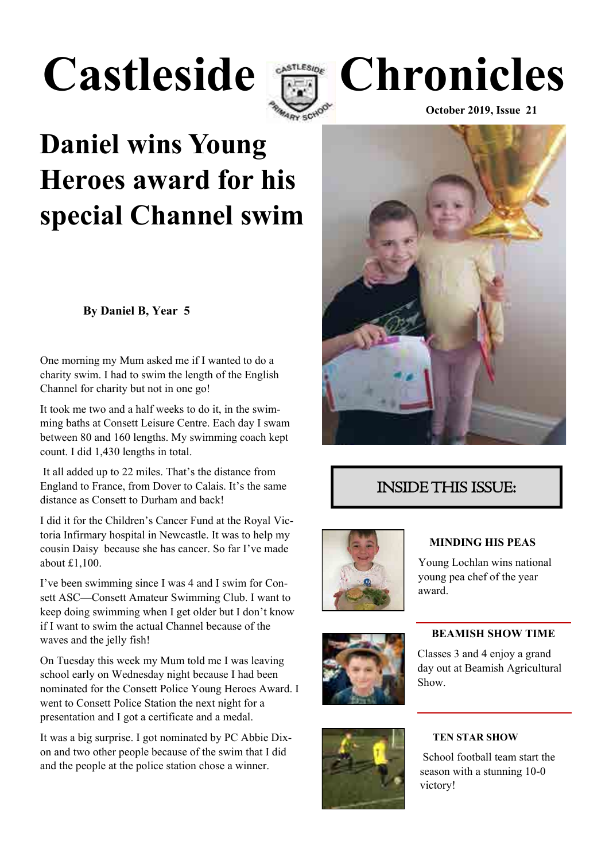# **Castleside Chronicles**



**October 2019, Issue 21**

### **Daniel wins Young Heroes award for his special Channel swim**

#### **By Daniel B, Year 5**

One morning my Mum asked me if I wanted to do a charity swim. I had to swim the length of the English Channel for charity but not in one go!

It took me two and a half weeks to do it, in the swimming baths at Consett Leisure Centre. Each day I swam between 80 and 160 lengths. My swimming coach kept count. I did 1,430 lengths in total.

It all added up to 22 miles. That's the distance from England to France, from Dover to Calais. It's the same distance as Consett to Durham and back!

I did it for the Children's Cancer Fund at the Royal Victoria Infirmary hospital in Newcastle. It was to help my cousin Daisy because she has cancer. So far I've made about £1,100.

I've been swimming since I was 4 and I swim for Consett ASC—Consett Amateur Swimming Club. I want to keep doing swimming when I get older but I don't know if I want to swim the actual Channel because of the waves and the jelly fish!

On Tuesday this week my Mum told me I was leaving school early on Wednesday night because I had been nominated for the Consett Police Young Heroes Award. I went to Consett Police Station the next night for a presentation and I got a certificate and a medal.

It was a big surprise. I got nominated by PC Abbie Dixon and two other people because of the swim that I did and the people at the police station chose a winner.



### INSIDE THIS ISSUE:



#### **MINDING HIS PEAS**

Young Lochlan wins national young pea chef of the year award.



#### **BEAMISH SHOW TIME**

Classes 3 and 4 enjoy a grand day out at Beamish Agricultural Show.



#### **TEN STAR SHOW**

School football team start the season with a stunning 10-0 victory!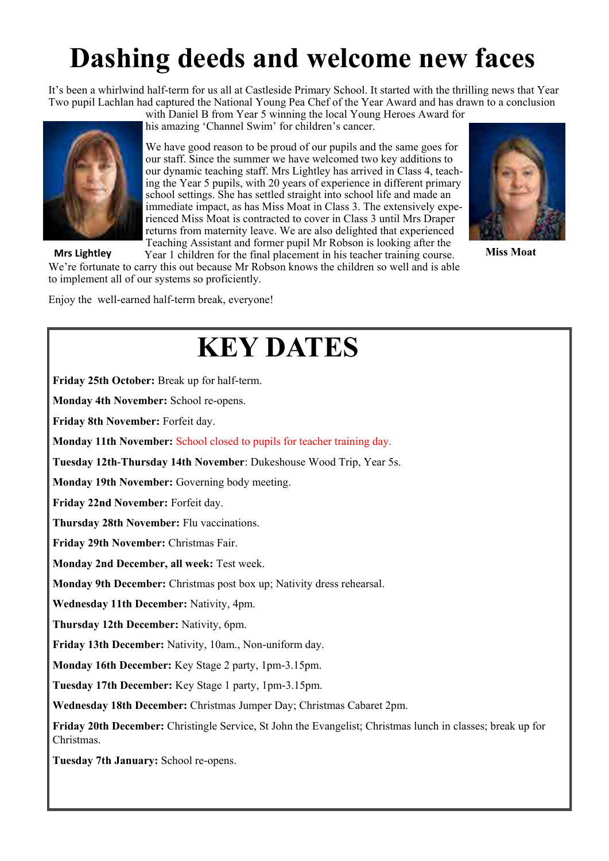### **Dashing deeds and welcome new faces**

It's been a whirlwind half-term for us all at Castleside Primary School. It started with the thrilling news that Year Two pupil Lachlan had captured the National Young Pea Chef of the Year Award and has drawn to a conclusion



with Daniel B from Year 5 winning the local Young Heroes Award for his amazing 'Channel Swim' for children's cancer.

We have good reason to be proud of our pupils and the same goes for our staff. Since the summer we have welcomed two key additions to our dynamic teaching staff. Mrs Lightley has arrived in Class 4, teaching the Year 5 pupils, with 20 years of experience in different primary school settings. She has settled straight into school life and made an immediate impact, as has Miss Moat in Class 3. The extensively experienced Miss Moat is contracted to cover in Class 3 until Mrs Draper returns from maternity leave. We are also delighted that experienced Teaching Assistant and former pupil Mr Robson is looking after the



**Mrs Lightley** Year 1 children for the final placement in his teacher training course. Miss Moat We're fortunate to carry this out because Mr Robson knows the children so well and is able to implement all of our systems so proficiently.

Enjoy the well-earned half-term break, everyone!

### **KEY DATES**

**Friday 25th October:** Break up for half-term.

**Monday 4th November:** School re-opens.

**Friday 8th November:** Forfeit day.

**Monday 11th November:** School closed to pupils for teacher training day.

**Tuesday 12th-Thursday 14th November**: Dukeshouse Wood Trip, Year 5s.

**Monday 19th November:** Governing body meeting.

**Friday 22nd November:** Forfeit day.

**Thursday 28th November:** Flu vaccinations.

**Friday 29th November:** Christmas Fair.

**Monday 2nd December, all week:** Test week.

**Monday 9th December:** Christmas post box up; Nativity dress rehearsal.

**Wednesday 11th December:** Nativity, 4pm.

**Thursday 12th December:** Nativity, 6pm.

**Friday 13th December:** Nativity, 10am., Non-uniform day.

**Monday 16th December:** Key Stage 2 party, 1pm-3.15pm.

**Tuesday 17th December:** Key Stage 1 party, 1pm-3.15pm.

**Wednesday 18th December:** Christmas Jumper Day; Christmas Cabaret 2pm.

**Friday 20th December:** Christingle Service, St John the Evangelist; Christmas lunch in classes; break up for Christmas.

**Tuesday 7th January:** School re-opens.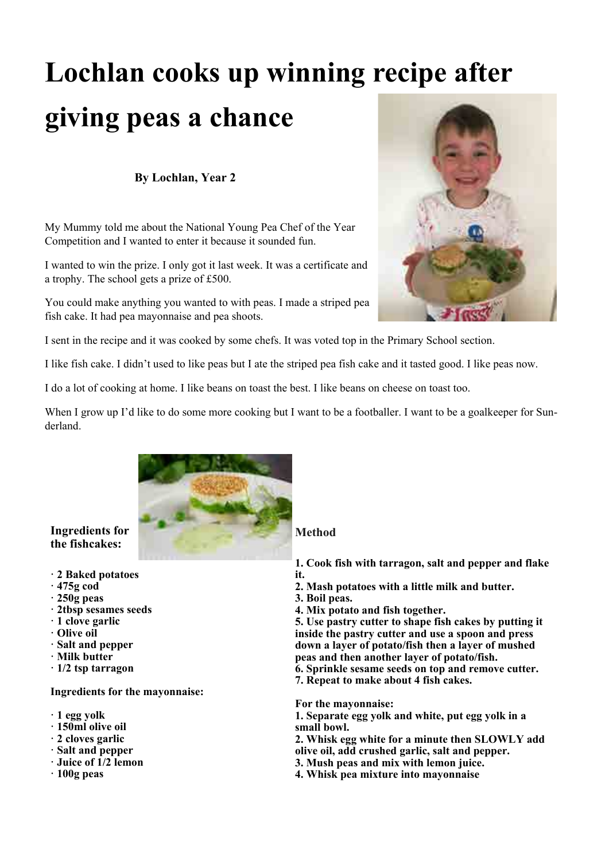### **Lochlan cooks up winning recipe after giving peas a chance**

**By Lochlan, Year 2**

My Mummy told me about the National Young Pea Chef of the Year Competition and I wanted to enter it because it sounded fun.

I wanted to win the prize. I only got it last week. It was a certificate and a trophy. The school gets a prize of £500.

You could make anything you wanted to with peas. I made a striped pea fish cake. It had pea mayonnaise and pea shoots.



I sent in the recipe and it was cooked by some chefs. It was voted top in the Primary School section.

I like fish cake. I didn't used to like peas but I ate the striped pea fish cake and it tasted good. I like peas now.

I do a lot of cooking at home. I like beans on toast the best. I like beans on cheese on toast too.

When I grow up I'd like to do some more cooking but I want to be a footballer. I want to be a goalkeeper for Sunderland.



#### **Ingredients for the fishcakes:**

- **· 2 Baked potatoes**
- **· 475g cod**
- **· 250g peas**
- **· 2tbsp sesames seeds**
- **· 1 clove garlic**
- **· Olive oil**
- **· Salt and pepper**
- **· Milk butter**
- **· 1/2 tsp tarragon**

#### **Ingredients for the mayonnaise:**

- **· 1 egg yolk**
- **· 150ml olive oil**
- **· 2 cloves garlic**
- **· Salt and pepper**
- **· Juice of 1/2 lemon**
- **· 100g peas**

#### **Method**

- **1. Cook fish with tarragon, salt and pepper and flake it.**
- **2. Mash potatoes with a little milk and butter.**
- **3. Boil peas.**
- **4. Mix potato and fish together.**

**5. Use pastry cutter to shape fish cakes by putting it inside the pastry cutter and use a spoon and press down a layer of potato/fish then a layer of mushed peas and then another layer of potato/fish.**

- **6. Sprinkle sesame seeds on top and remove cutter.**
- **7. Repeat to make about 4 fish cakes.**

**For the mayonnaise:**

**1. Separate egg yolk and white, put egg yolk in a small bowl.**

- **2. Whisk egg white for a minute then SLOWLY add olive oil, add crushed garlic, salt and pepper.**
- **3. Mush peas and mix with lemon juice.**
- **4. Whisk pea mixture into mayonnaise**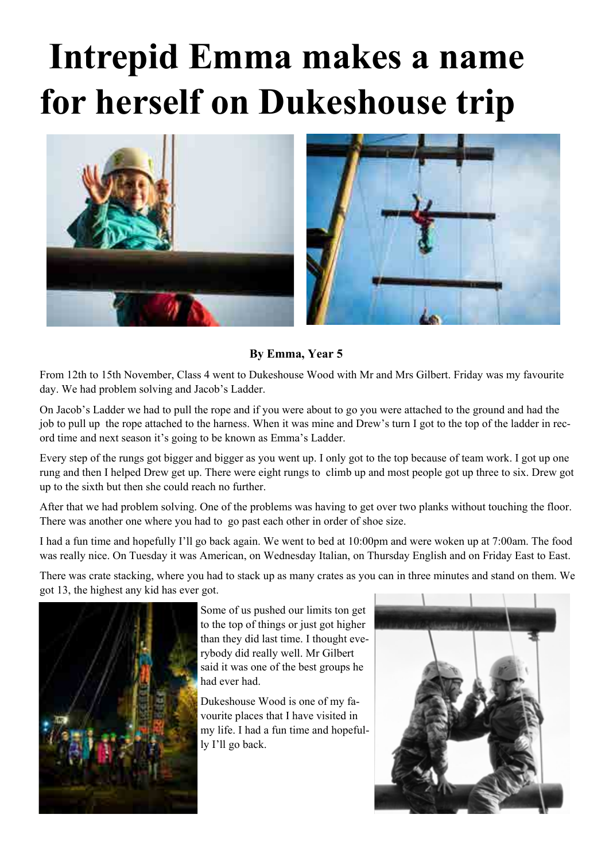## **Intrepid Emma makes a name for herself on Dukeshouse trip**



#### **By Emma, Year 5**

From 12th to 15th November, Class 4 went to Dukeshouse Wood with Mr and Mrs Gilbert. Friday was my favourite day. We had problem solving and Jacob's Ladder.

On Jacob's Ladder we had to pull the rope and if you were about to go you were attached to the ground and had the job to pull up the rope attached to the harness. When it was mine and Drew's turn I got to the top of the ladder in record time and next season it's going to be known as Emma's Ladder.

Every step of the rungs got bigger and bigger as you went up. I only got to the top because of team work. I got up one rung and then I helped Drew get up. There were eight rungs to climb up and most people got up three to six. Drew got up to the sixth but then she could reach no further.

After that we had problem solving. One of the problems was having to get over two planks without touching the floor. There was another one where you had to go past each other in order of shoe size.

I had a fun time and hopefully I'll go back again. We went to bed at 10:00pm and were woken up at 7:00am. The food was really nice. On Tuesday it was American, on Wednesday Italian, on Thursday English and on Friday East to East.

There was crate stacking, where you had to stack up as many crates as you can in three minutes and stand on them. We got 13, the highest any kid has ever got.



Some of us pushed our limits ton get to the top of things or just got higher than they did last time. I thought everybody did really well. Mr Gilbert said it was one of the best groups he had ever had.

Dukeshouse Wood is one of my favourite places that I have visited in my life. I had a fun time and hopefully I'll go back.

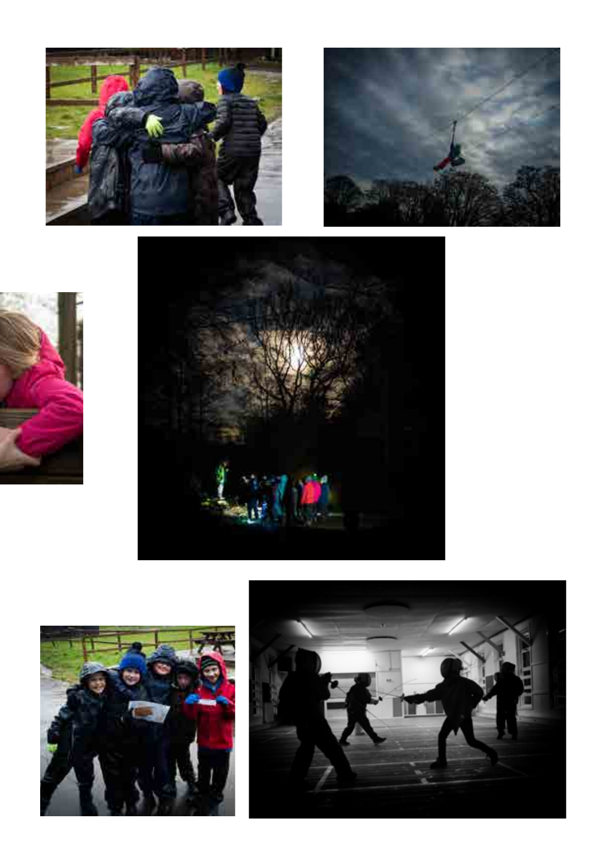









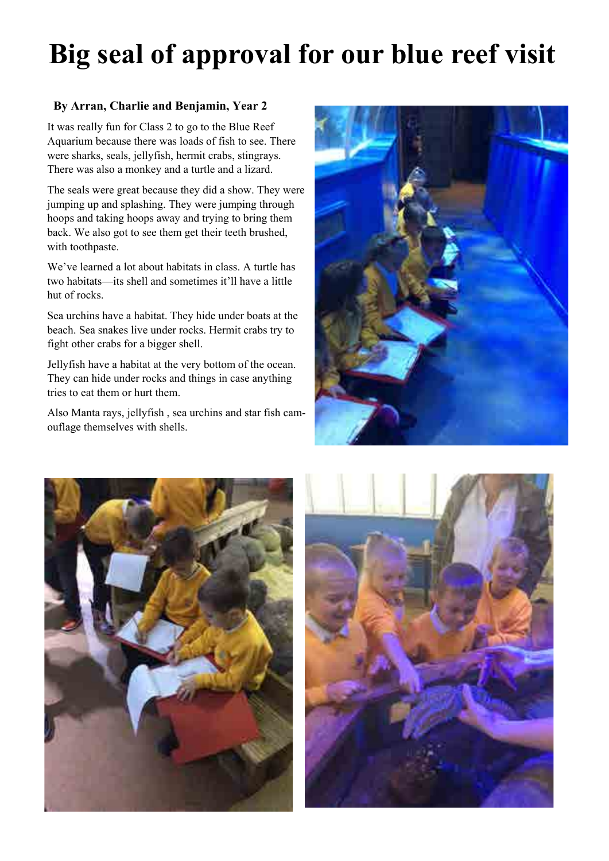### **Big seal of approval for our blue reef visit**

#### **By Arran, Charlie and Benjamin, Year 2**

It was really fun for Class 2 to go to the Blue Reef Aquarium because there was loads of fish to see. There were sharks, seals, jellyfish, hermit crabs, stingrays. There was also a monkey and a turtle and a lizard.

The seals were great because they did a show. They were jumping up and splashing. They were jumping through hoops and taking hoops away and trying to bring them back. We also got to see them get their teeth brushed, with toothpaste.

We've learned a lot about habitats in class. A turtle has two habitats—its shell and sometimes it'll have a little hut of rocks.

Sea urchins have a habitat. They hide under boats at the beach. Sea snakes live under rocks. Hermit crabs try to fight other crabs for a bigger shell.

Jellyfish have a habitat at the very bottom of the ocean. They can hide under rocks and things in case anything tries to eat them or hurt them.

Also Manta rays, jellyfish , sea urchins and star fish camouflage themselves with shells.





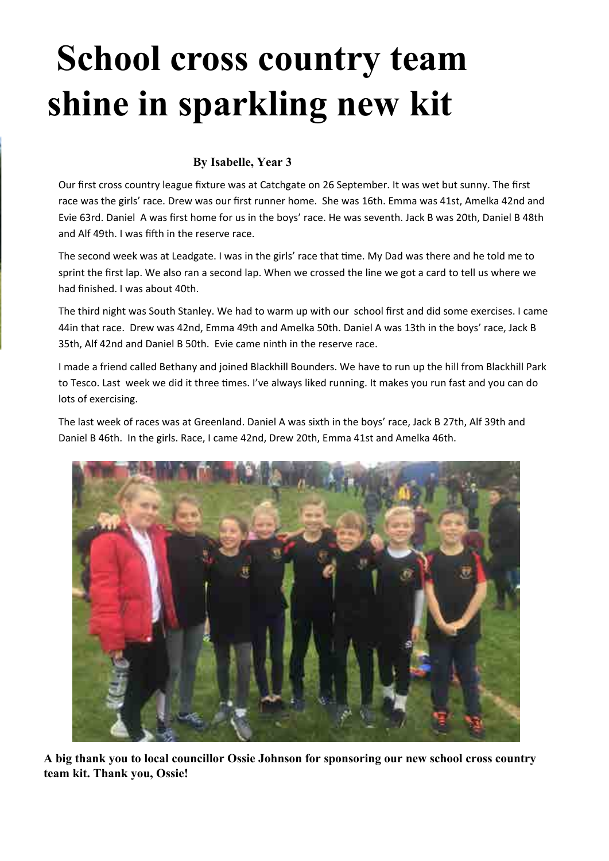### **School cross country team shine in sparkling new kit**

#### **By Isabelle, Year 3**

Our first cross country league fixture was at Catchgate on 26 September. It was wet but sunny. The first race was the girls' race. Drew was our first runner home. She was 16th. Emma was 41st, Amelka 42nd and Evie 63rd. Daniel A was first home for us in the boys' race. He was seventh. Jack B was 20th, Daniel B 48th and Alf 49th. I was fifth in the reserve race.

The second week was at Leadgate. I was in the girls' race that time. My Dad was there and he told me to sprint the first lap. We also ran a second lap. When we crossed the line we got a card to tell us where we had finished. I was about 40th.

The third night was South Stanley. We had to warm up with our school first and did some exercises. I came 44in that race. Drew was 42nd, Emma 49th and Amelka 50th. Daniel A was 13th in the boys' race, Jack B 35th, Alf 42nd and Daniel B 50th. Evie came ninth in the reserve race.

I made a friend called Bethany and joined Blackhill Bounders. We have to run up the hill from Blackhill Park to Tesco. Last week we did it three times. I've always liked running. It makes you run fast and you can do lots of exercising.

The last week of races was at Greenland. Daniel A was sixth in the boys' race, Jack B 27th, Alf 39th and Daniel B 46th. In the girls. Race, I came 42nd, Drew 20th, Emma 41st and Amelka 46th.



**A big thank you to local councillor Ossie Johnson for sponsoring our new school cross country team kit. Thank you, Ossie!**